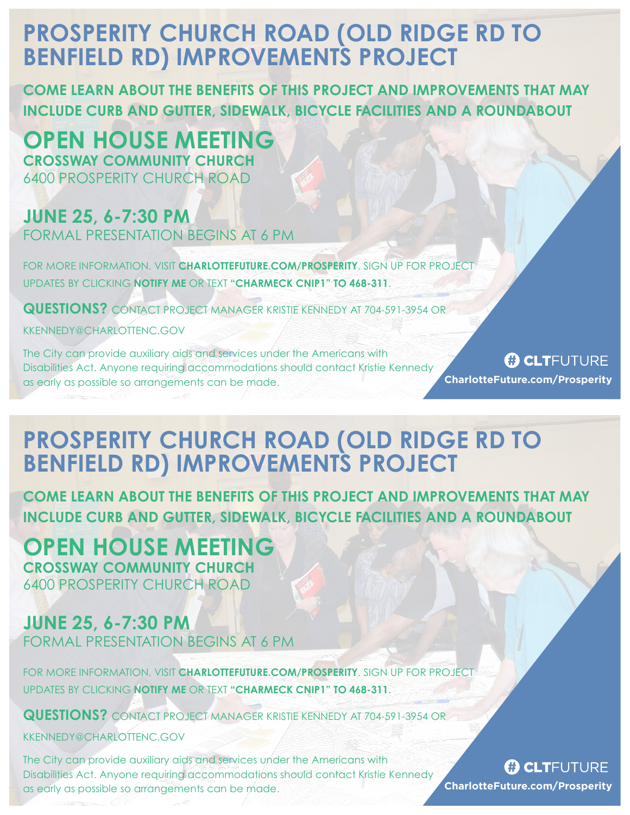# **PROSPERITY CHURCH ROAD (OLD RIDGE RD TO BENFIELD RD) IMPROVEMENTS PROJECT**

**COME LEARN ABOUT THE BENEFITS OF THIS PROJECT AND IMPROVEMENTS THAT MAY INCLUDE CURB AND GUTTER, SIDEWALK, BICYCLE FACILITIES AND A ROUNDABOUT**

**OPEN HOUSE MEETING CROSSWAY COMMUNITY CHURCH** 6400 PROSPERITY CHURCH ROAD

### **JUNE 25, 6-7:30 PM**

FORMAL PRESENTATION BEGINS AT 6 PM

FOR MORE INFORMATION, VISIT **CHARLOTTEFUTURE.COM/PROSPERITY**. SIGN UP FOR PROJECT UPDATES BY CLICKING **NOTIFY ME** OR TEXT **"CHARMECK CNIP1" TO 468-311**.

**QUESTIONS?** CONTACT PROJECT MANAGER KRISTIE KENNEDY AT 704-591-3954 OR

KKENNEDY@CHARLOTTENC.GOV

The City can provide auxiliary aids and services under the Americans with Disabilities Act. Anyone requiring accommodations should contact Kristie Kennedy as early as possible so arrangements can be made.

**(F) CLT**FUTURE **CharlotteFuture.com/Prosperity**

## **PROSPERITY CHURCH ROAD (OLD RIDGE RD TO BENFIELD RD) IMPROVEMENTS PROJECT**

**COME LEARN ABOUT THE BENEFITS OF THIS PROJECT AND IMPROVEMENTS THAT MAY INCLUDE CURB AND GUTTER, SIDEWALK, BICYCLE FACILITIES AND A ROUNDABOUT**

### **OPEN HOUSE MEETING CROSSWAY COMMUNITY CHURCH**

6400 PROSPERITY CHURCH ROAD

## **JUNE 25, 6-7:30 PM**

FORMAL PRESENTATION BEGINS AT 6 PM

FOR MORE INFORMATION, VISIT **CHARLOTTEFUTURE.COM/PROSPERITY**. SIGN UP FOR PROJECT UPDATES BY CLICKING **NOTIFY ME** OR TEXT **"CHARMECK CNIP1" TO 468-311**.

**QUESTIONS?** CONTACT PROJECT MANAGER KRISTIE KENNEDY AT 704-591-3954 OR

KKENNEDY@CHARLOTTENC.GOV

The City can provide auxiliary aids and services under the Americans with Disabilities Act. Anyone requiring accommodations should contact Kristie Kennedy as early as possible so arrangements can be made.

#### *C***LT**FUTURE **CharlotteFuture.com/Prosperity**